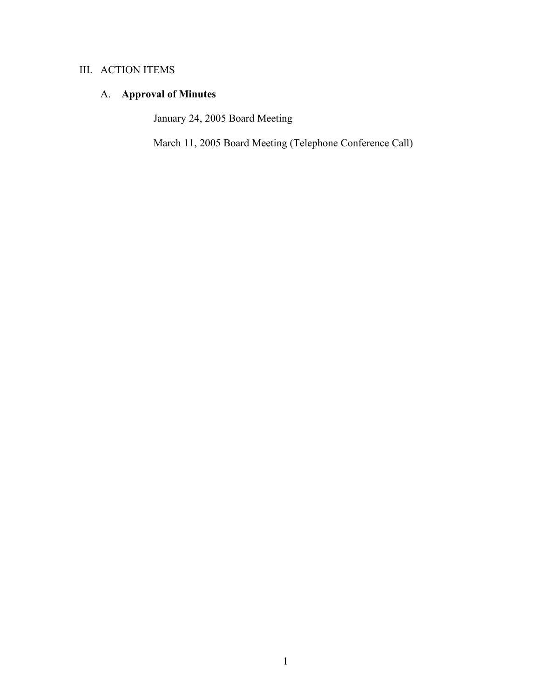# III. ACTION ITEMS

# A. **Approval of Minutes**

January 24, 2005 Board Meeting

March 11, 2005 Board Meeting (Telephone Conference Call)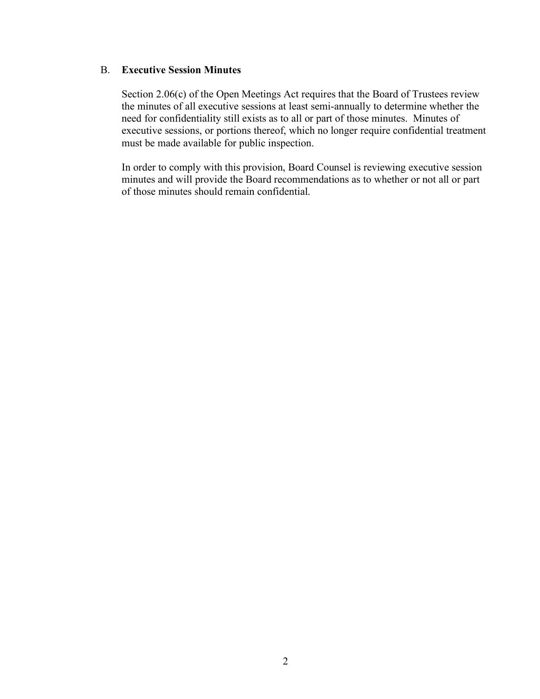# B. **Executive Session Minutes**

Section 2.06(c) of the Open Meetings Act requires that the Board of Trustees review the minutes of all executive sessions at least semi-annually to determine whether the need for confidentiality still exists as to all or part of those minutes. Minutes of executive sessions, or portions thereof, which no longer require confidential treatment must be made available for public inspection.

In order to comply with this provision, Board Counsel is reviewing executive session minutes and will provide the Board recommendations as to whether or not all or part of those minutes should remain confidential.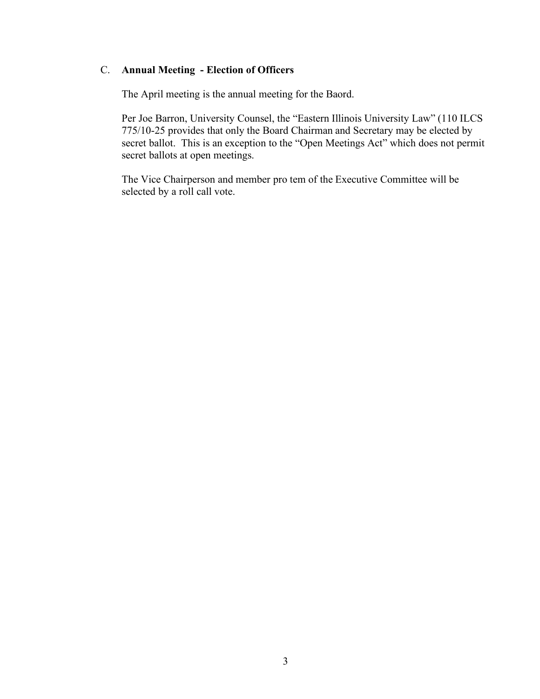# C. **Annual Meeting - Election of Officers**

The April meeting is the annual meeting for the Baord.

Per Joe Barron, University Counsel, the "Eastern Illinois University Law" (110 ILCS 775/10-25 provides that only the Board Chairman and Secretary may be elected by secret ballot. This is an exception to the "Open Meetings Act" which does not permit secret ballots at open meetings.

The Vice Chairperson and member pro tem of the Executive Committee will be selected by a roll call vote.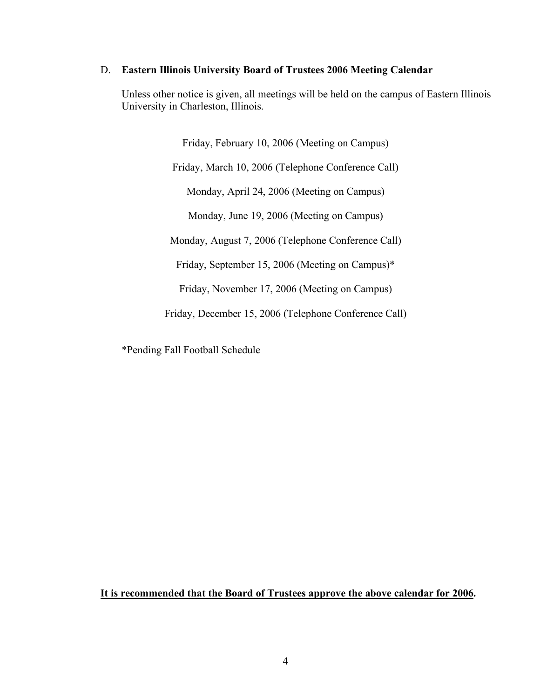### D. **Eastern Illinois University Board of Trustees 2006 Meeting Calendar**

Unless other notice is given, all meetings will be held on the campus of Eastern Illinois University in Charleston, Illinois.

> Friday, February 10, 2006 (Meeting on Campus) Friday, March 10, 2006 (Telephone Conference Call) Monday, April 24, 2006 (Meeting on Campus) Monday, June 19, 2006 (Meeting on Campus) Monday, August 7, 2006 (Telephone Conference Call) Friday, September 15, 2006 (Meeting on Campus)\*

Friday, November 17, 2006 (Meeting on Campus)

Friday, December 15, 2006 (Telephone Conference Call)

\*Pending Fall Football Schedule

**It is recommended that the Board of Trustees approve the above calendar for 2006.**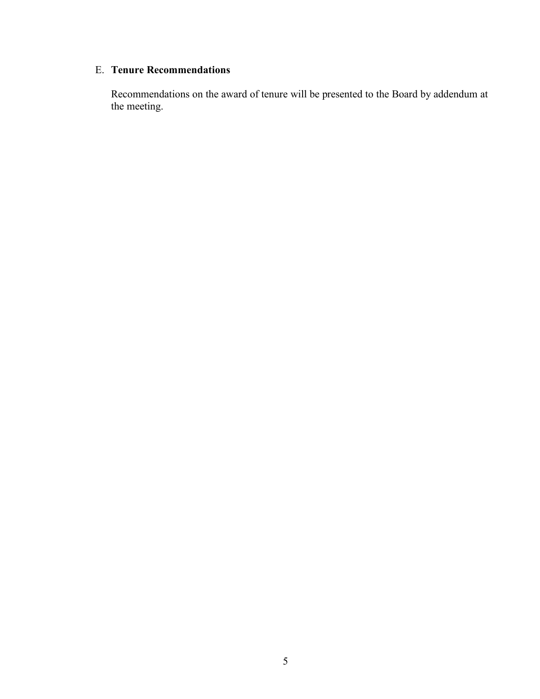# E. **Tenure Recommendations**

Recommendations on the award of tenure will be presented to the Board by addendum at the meeting.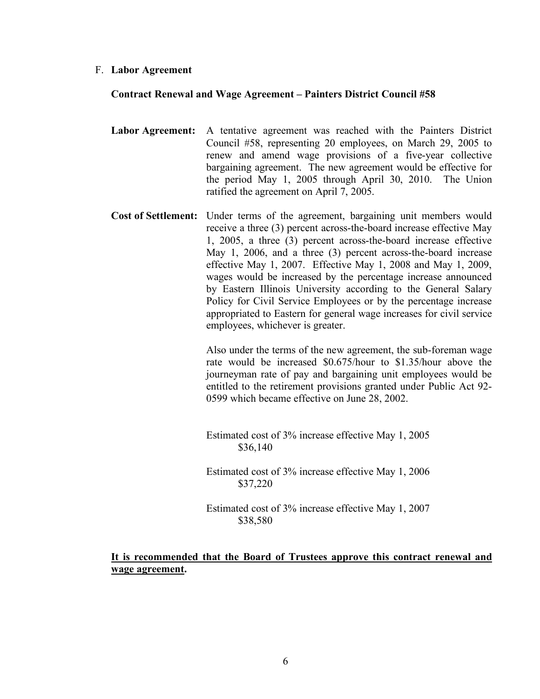### F. **Labor Agreement**

## **Contract Renewal and Wage Agreement – Painters District Council #58**

- **Labor Agreement:** A tentative agreement was reached with the Painters District Council #58, representing 20 employees, on March 29, 2005 to renew and amend wage provisions of a five-year collective bargaining agreement. The new agreement would be effective for the period May 1, 2005 through April 30, 2010. The Union ratified the agreement on April 7, 2005.
- **Cost of Settlement:** Under terms of the agreement, bargaining unit members would receive a three (3) percent across-the-board increase effective May 1, 2005, a three (3) percent across-the-board increase effective May 1, 2006, and a three (3) percent across-the-board increase effective May 1, 2007. Effective May 1, 2008 and May 1, 2009, wages would be increased by the percentage increase announced by Eastern Illinois University according to the General Salary Policy for Civil Service Employees or by the percentage increase appropriated to Eastern for general wage increases for civil service employees, whichever is greater.

Also under the terms of the new agreement, the sub-foreman wage rate would be increased \$0.675/hour to \$1.35/hour above the journeyman rate of pay and bargaining unit employees would be entitled to the retirement provisions granted under Public Act 92- 0599 which became effective on June 28, 2002.

Estimated cost of 3% increase effective May 1, 2005 \$36,140

Estimated cost of 3% increase effective May 1, 2006 \$37,220

Estimated cost of 3% increase effective May 1, 2007 \$38,580

# **It is recommended that the Board of Trustees approve this contract renewal and wage agreement.**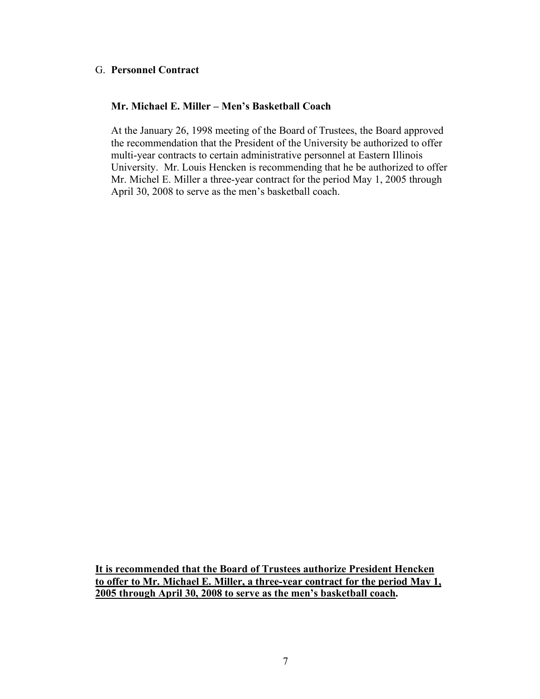# G. **Personnel Contract**

# **Mr. Michael E. Miller – Men's Basketball Coach**

At the January 26, 1998 meeting of the Board of Trustees, the Board approved the recommendation that the President of the University be authorized to offer multi-year contracts to certain administrative personnel at Eastern Illinois University. Mr. Louis Hencken is recommending that he be authorized to offer Mr. Michel E. Miller a three-year contract for the period May 1, 2005 through April 30, 2008 to serve as the men's basketball coach.

**It is recommended that the Board of Trustees authorize President Hencken to offer to Mr. Michael E. Miller, a three-year contract for the period May 1, 2005 through April 30, 2008 to serve as the men's basketball coach.**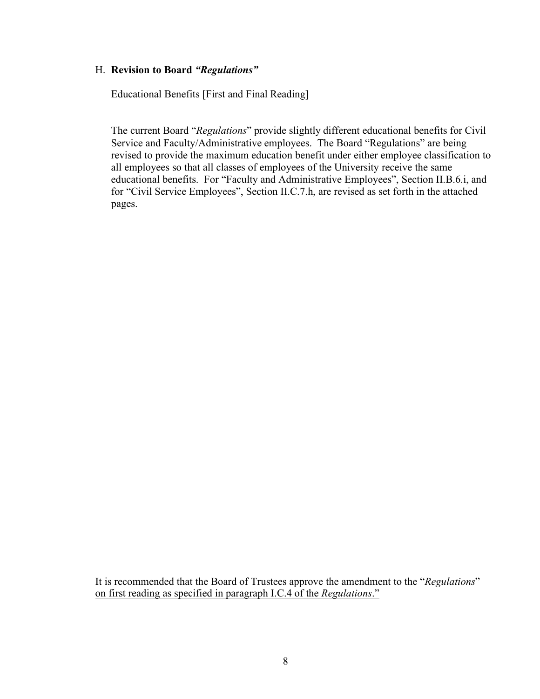# H. **Revision to Board** *"Regulations"*

Educational Benefits [First and Final Reading]

The current Board "*Regulations*" provide slightly different educational benefits for Civil Service and Faculty/Administrative employees. The Board "Regulations" are being revised to provide the maximum education benefit under either employee classification to all employees so that all classes of employees of the University receive the same educational benefits. For "Faculty and Administrative Employees", Section II.B.6.i, and for "Civil Service Employees", Section II.C.7.h, are revised as set forth in the attached pages.

It is recommended that the Board of Trustees approve the amendment to the "*Regulations*" on first reading as specified in paragraph I.C.4 of the *Regulations*."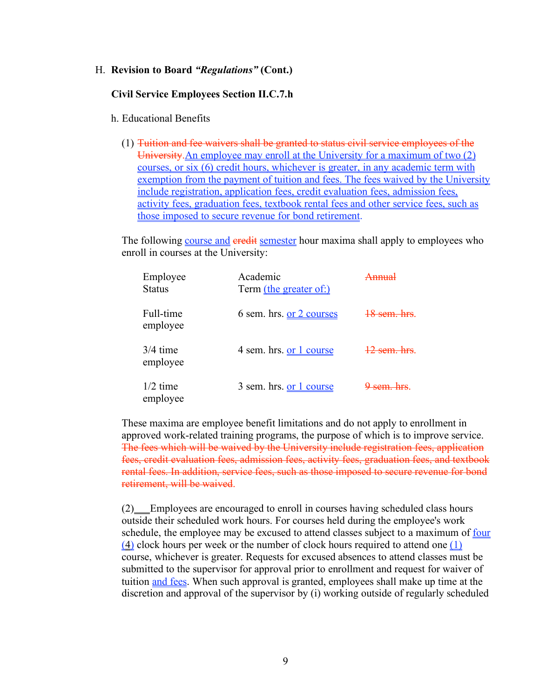### **Civil Service Employees Section II.C.7.h**

### h. Educational Benefits

(1) Tuition and fee waivers shall be granted to status civil service employees of the University.An employee may enroll at the University for a maximum of two (2) courses, or six (6) credit hours, whichever is greater, in any academic term with exemption from the payment of tuition and fees. The fees waived by the University include registration, application fees, credit evaluation fees, admission fees, activity fees, graduation fees, textbook rental fees and other service fees, such as those imposed to secure revenue for bond retirement.

The following course and eredit semester hour maxima shall apply to employees who enroll in courses at the University:

| Employee<br><b>Status</b> | Academic<br>Term (the greater of:) |     |
|---------------------------|------------------------------------|-----|
| Full-time<br>employee     | 6 sem. hrs. or 2 courses           |     |
| $3/4$ time<br>employee    | 4 sem. hrs. or 1 course            |     |
| $1/2$ time<br>employee    | 3 sem. hrs. or 1 course            | com |

These maxima are employee benefit limitations and do not apply to enrollment in approved work-related training programs, the purpose of which is to improve service. The fees which will be waived by the University include registration fees, application fees, credit evaluation fees, admission fees, activity fees, graduation fees, and textbook rental fees. In addition, service fees, such as those imposed to secure revenue for bond retirement, will be waived.

(2) Employees are encouraged to enroll in courses having scheduled class hours outside their scheduled work hours. For courses held during the employee's work schedule, the employee may be excused to attend classes subject to a maximum of four (4) clock hours per week or the number of clock hours required to attend one (1) course, whichever is greater. Requests for excused absences to attend classes must be submitted to the supervisor for approval prior to enrollment and request for waiver of tuition and fees. When such approval is granted, employees shall make up time at the discretion and approval of the supervisor by (i) working outside of regularly scheduled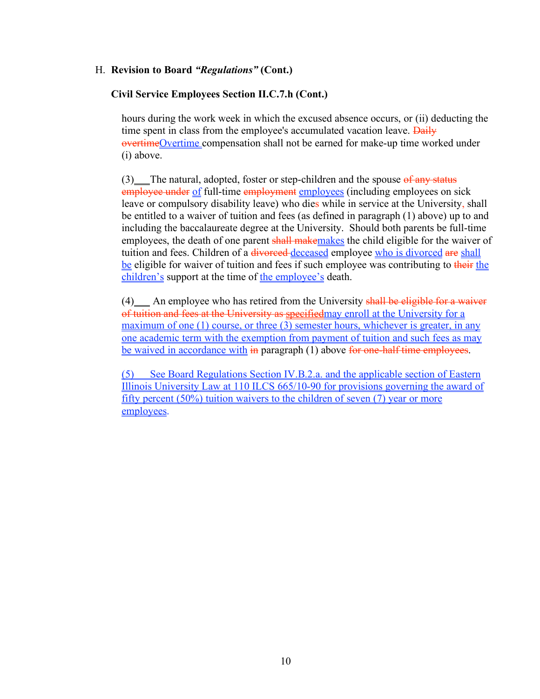# **Civil Service Employees Section II.C.7.h (Cont.)**

hours during the work week in which the excused absence occurs, or (ii) deducting the time spent in class from the employee's accumulated vacation leave. Daily overtimeOvertime compensation shall not be earned for make-up time worked under (i) above.

 $(3)$  The natural, adopted, foster or step-children and the spouse of any status employee under of full-time employment employees (including employees on sick leave or compulsory disability leave) who dies while in service at the University, shall be entitled to a waiver of tuition and fees (as defined in paragraph (1) above) up to and including the baccalaureate degree at the University. Should both parents be full-time employees, the death of one parent shall makemakes the child eligible for the waiver of tuition and fees. Children of a divorced-deceased employee who is divorced are shall be eligible for waiver of tuition and fees if such employee was contributing to their the children's support at the time of the employee's death.

 $(4)$  An employee who has retired from the University shall be eligible for a waiver of tuition and fees at the University as specifiedmay enroll at the University for a maximum of one (1) course, or three (3) semester hours, whichever is greater, in any one academic term with the exemption from payment of tuition and such fees as may be waived in accordance with in paragraph (1) above for one-half time employees.

(5) See Board Regulations Section IV.B.2.a. and the applicable section of Eastern Illinois University Law at 110 ILCS 665/10-90 for provisions governing the award of fifty percent (50%) tuition waivers to the children of seven (7) year or more employees.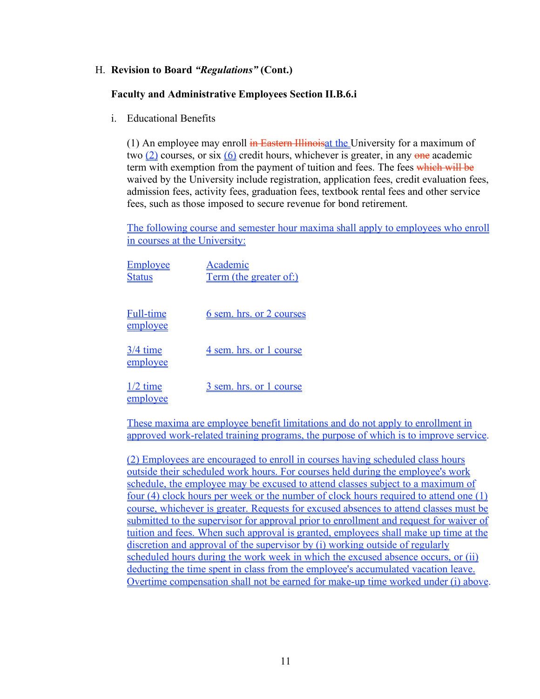# **Faculty and Administrative Employees Section II.B.6.i**

i. Educational Benefits

(1) An employee may enroll  $\frac{1}{10}$  Eastern Illinois at the University for a maximum of two  $(2)$  courses, or six  $(6)$  credit hours, whichever is greater, in any one academic term with exemption from the payment of tuition and fees. The fees which will be waived by the University include registration, application fees, credit evaluation fees, admission fees, activity fees, graduation fees, textbook rental fees and other service fees, such as those imposed to secure revenue for bond retirement.

The following course and semester hour maxima shall apply to employees who enroll in courses at the University:

| <b>Employee</b><br><u>Status</u> | Academic<br>Term (the greater of:) |
|----------------------------------|------------------------------------|
| <b>Full-time</b><br>employee     | <u>6 sem. hrs. or 2 courses</u>    |
| <u>3/4 time</u><br>employee      | 4 sem. hrs. or 1 course            |
| $1/2$ time<br>employee           | 3 sem. hrs. or 1 course            |

These maxima are employee benefit limitations and do not apply to enrollment in approved work-related training programs, the purpose of which is to improve service.

(2) Employees are encouraged to enroll in courses having scheduled class hours outside their scheduled work hours. For courses held during the employee's work schedule, the employee may be excused to attend classes subject to a maximum of four (4) clock hours per week or the number of clock hours required to attend one (1) course, whichever is greater. Requests for excused absences to attend classes must be submitted to the supervisor for approval prior to enrollment and request for waiver of tuition and fees. When such approval is granted, employees shall make up time at the discretion and approval of the supervisor by (i) working outside of regularly scheduled hours during the work week in which the excused absence occurs, or (ii) deducting the time spent in class from the employee's accumulated vacation leave. Overtime compensation shall not be earned for make-up time worked under (i) above.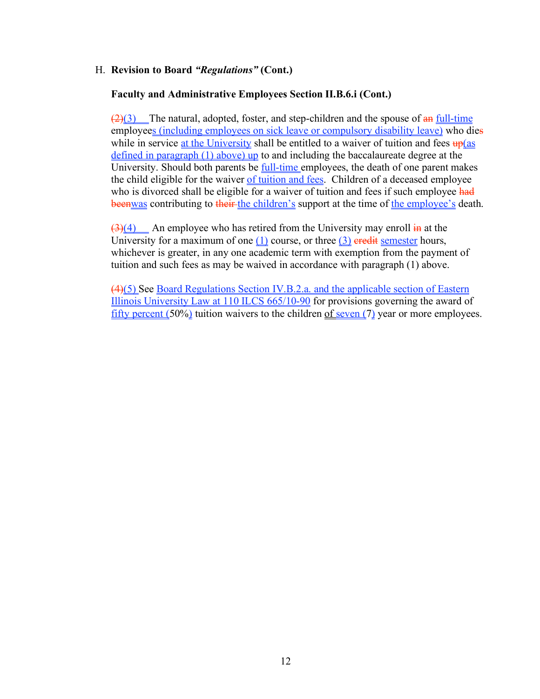# **Faculty and Administrative Employees Section II.B.6.i (Cont.)**

 $(2)(3)$  The natural, adopted, foster, and step-children and the spouse of  $\frac{d}{dx}$  full-time employees (including employees on sick leave or compulsory disability leave) who dies while in service at the University shall be entitled to a waiver of tuition and fees  $\frac{up}{as}$ defined in paragraph (1) above) up to and including the baccalaureate degree at the University. Should both parents be full-time employees, the death of one parent makes the child eligible for the waiver of tuition and fees. Children of a deceased employee who is divorced shall be eligible for a waiver of tuition and fees if such employee had beenwas contributing to their-the children's support at the time of the employee's death.

 $\left(3\right)(4)$  An employee who has retired from the University may enroll  $\frac{1}{2}$  at the University for a maximum of one  $(1)$  course, or three  $(3)$  eredit semester hours, whichever is greater, in any one academic term with exemption from the payment of tuition and such fees as may be waived in accordance with paragraph (1) above.

(4)(5) See Board Regulations Section IV.B.2.a. and the applicable section of Eastern Illinois University Law at 110 ILCS 665/10-90 for provisions governing the award of fifty percent (50%) tuition waivers to the children of seven (7) year or more employees.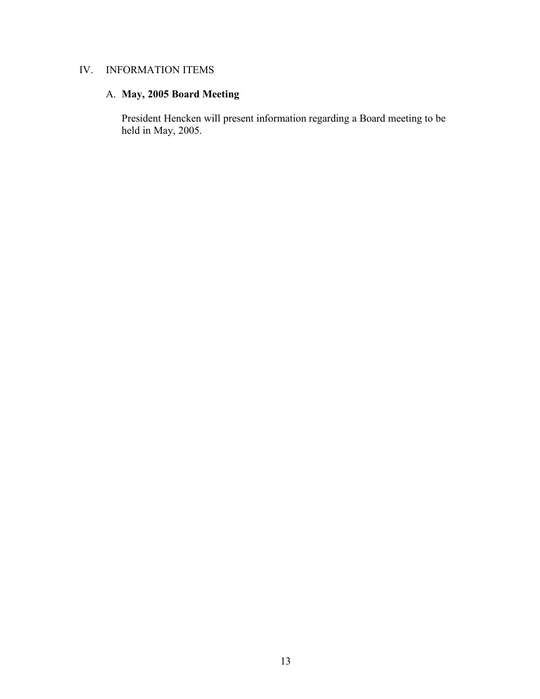# IV. INFORMATION ITEMS

# A. **May, 2005 Board Meeting**

President Hencken will present information regarding a Board meeting to be held in May, 2005.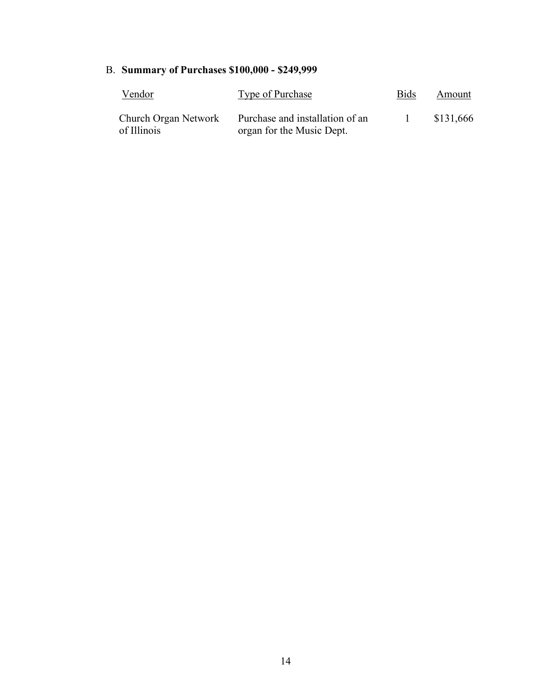# B. **Summary of Purchases \$100,000 - \$249,999**

| Vendor                              | Type of Purchase                                             | <b>Bids</b> | Amount    |
|-------------------------------------|--------------------------------------------------------------|-------------|-----------|
| Church Organ Network<br>of Illinois | Purchase and installation of an<br>organ for the Music Dept. |             | \$131,666 |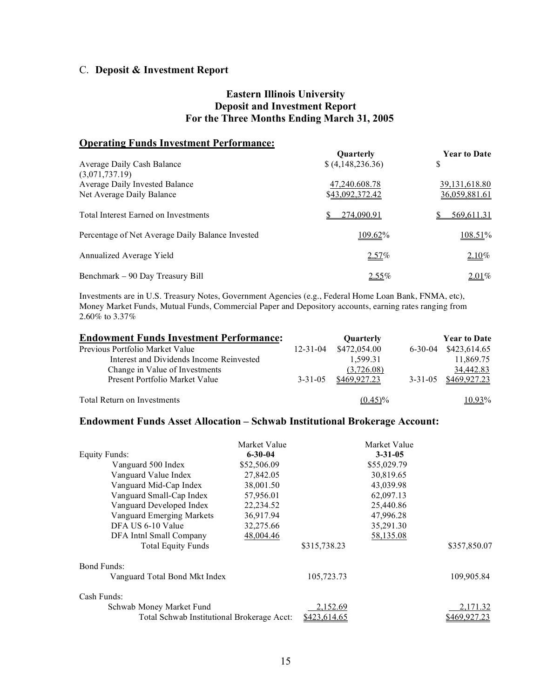# C. **Deposit & Investment Report**

# **Eastern Illinois University Deposit and Investment Report For the Three Months Ending March 31, 2005**

# **Operating Funds Investment Performance:**

| Average Daily Cash Balance                                                    | Quarterly<br>\$(4,148,236.36)    | <b>Year to Date</b><br>S                |
|-------------------------------------------------------------------------------|----------------------------------|-----------------------------------------|
| (3,071,737.19)<br>Average Daily Invested Balance<br>Net Average Daily Balance | 47,240.608.78<br>\$43,092,372.42 | 39, 131, 618.80<br><u>36,059,881.61</u> |
| Total Interest Earned on Investments                                          | 274,090.91                       | 569,611.31                              |
| Percentage of Net Average Daily Balance Invested                              | 109.62%                          | 108.51%                                 |
| Annualized Average Yield                                                      | $2.57\%$                         | $2.10\%$                                |
| Benchmark – 90 Day Treasury Bill                                              | $2.55\%$                         | $2.01\%$                                |

Investments are in U.S. Treasury Notes, Government Agencies (e.g., Federal Home Loan Bank, FNMA, etc), Money Market Funds, Mutual Funds, Commercial Paper and Depository accounts, earning rates ranging from 2.60% to 3.37%

| <b>Endowment Funds Investment Performance:</b> |                | Quarterly    |               | <b>Year to Date</b> |
|------------------------------------------------|----------------|--------------|---------------|---------------------|
| Previous Portfolio Market Value                | $12 - 31 - 04$ | \$472,054.00 | $6 - 30 - 04$ | \$423,614.65        |
| Interest and Dividends Income Reinvested       |                | 1,599.31     |               | 11,869.75           |
| Change in Value of Investments                 |                | (3,726.08)   |               | 34,442.83           |
| Present Portfolio Market Value                 | $3 - 31 - 05$  | \$469,927.23 | $3 - 31 - 05$ | \$469,927.23        |
| Total Return on Investments                    |                | $(0.45)\%$   |               | 10.93%              |

# **Endowment Funds Asset Allocation – Schwab Institutional Brokerage Account:**

|                                            | Market Value  |              | Market Value  |              |
|--------------------------------------------|---------------|--------------|---------------|--------------|
| <b>Equity Funds:</b>                       | $6 - 30 - 04$ |              | $3 - 31 - 05$ |              |
| Vanguard 500 Index                         | \$52,506.09   |              | \$55,029.79   |              |
| Vanguard Value Index                       | 27,842.05     |              | 30,819.65     |              |
| Vanguard Mid-Cap Index                     | 38,001.50     |              | 43,039.98     |              |
| Vanguard Small-Cap Index                   | 57,956.01     |              | 62,097.13     |              |
| Vanguard Developed Index                   | 22,234.52     |              | 25,440.86     |              |
| Vanguard Emerging Markets                  | 36,917.94     |              | 47,996.28     |              |
| DFA US 6-10 Value                          | 32,275.66     |              | 35,291.30     |              |
| DFA Inthl Small Company                    | 48,004.46     |              | 58,135.08     |              |
| <b>Total Equity Funds</b>                  |               | \$315,738.23 |               | \$357,850.07 |
| Bond Funds:                                |               |              |               |              |
| Vanguard Total Bond Mkt Index              |               | 105,723.73   |               | 109,905.84   |
| Cash Funds:                                |               |              |               |              |
| Schwab Money Market Fund                   |               | 2,152.69     |               | 2,171.32     |
| Total Schwab Institutional Brokerage Acct: |               | \$423,614.65 |               | \$469.927    |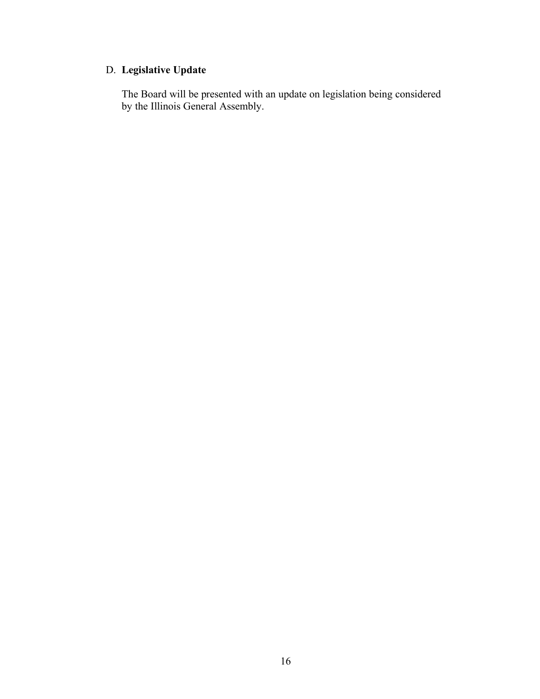# D. **Legislative Update**

The Board will be presented with an update on legislation being considered by the Illinois General Assembly.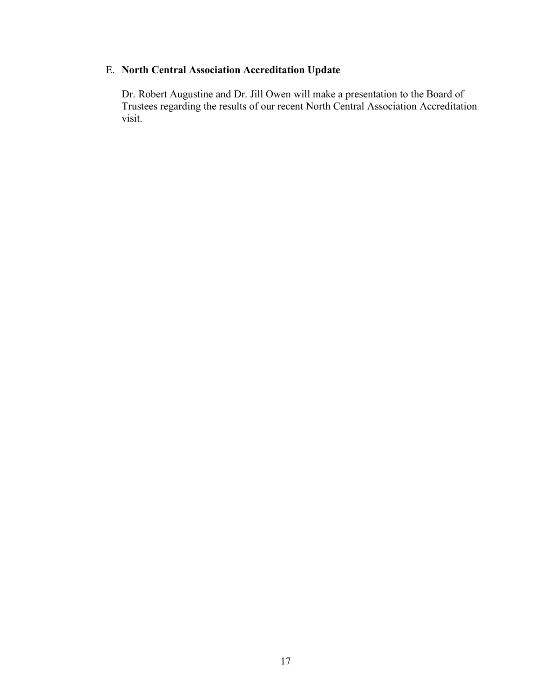# E. **North Central Association Accreditation Update**

Dr. Robert Augustine and Dr. Jill Owen will make a presentation to the Board of Trustees regarding the results of our recent North Central Association Accreditation visit.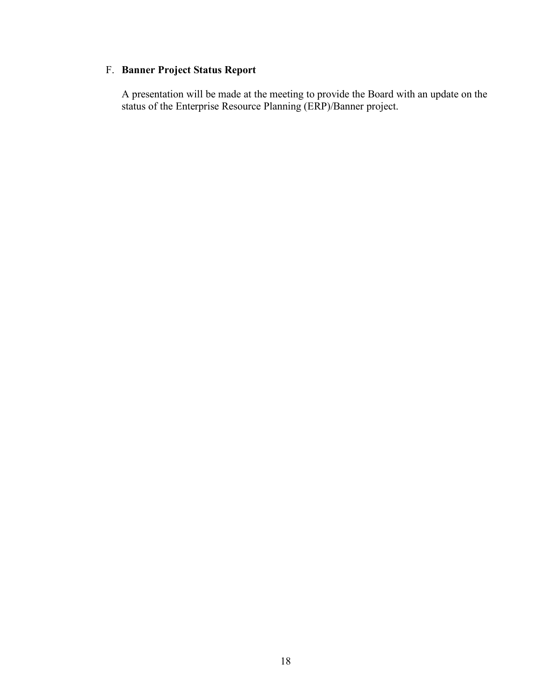# F. **Banner Project Status Report**

A presentation will be made at the meeting to provide the Board with an update on the status of the Enterprise Resource Planning (ERP)/Banner project.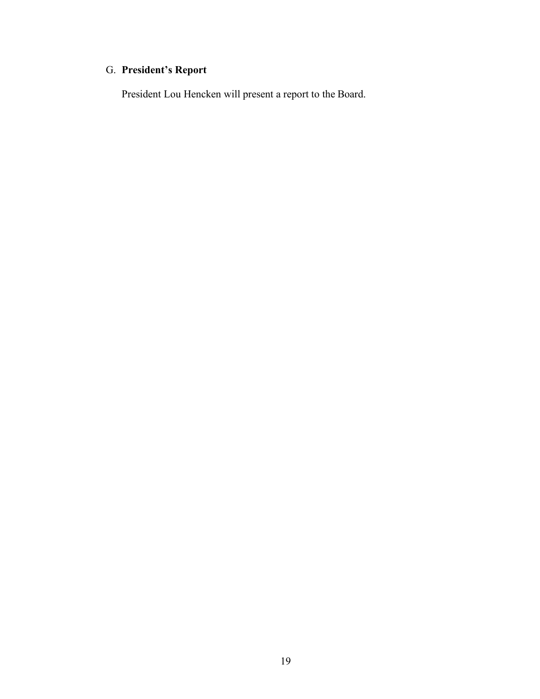# G. **President's Report**

President Lou Hencken will present a report to the Board.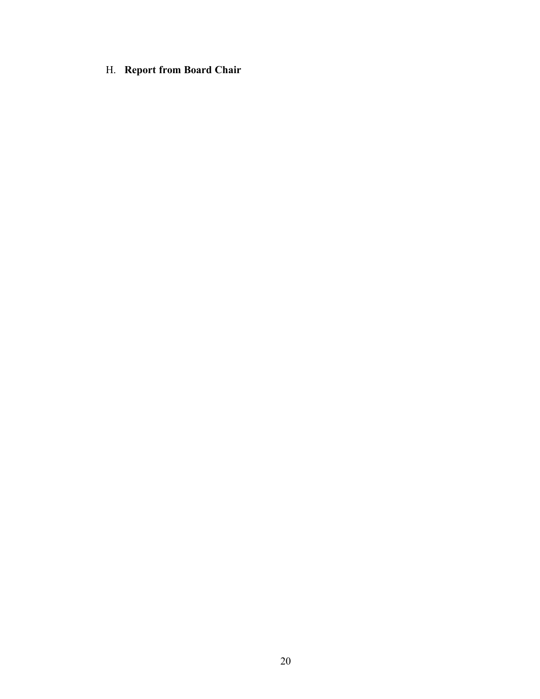H. **Report from Board Chair**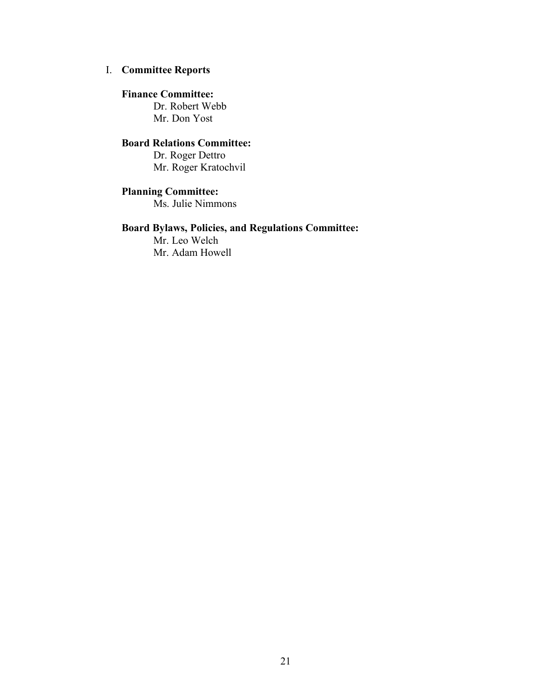# I. **Committee Reports**

## **Finance Committee:**

Dr. Robert Webb Mr. Don Yost

# **Board Relations Committee:**

Dr. Roger Dettro Mr. Roger Kratochvil

# **Planning Committee:**

Ms. Julie Nimmons

# **Board Bylaws, Policies, and Regulations Committee:**

Mr. Leo Welch Mr. Adam Howell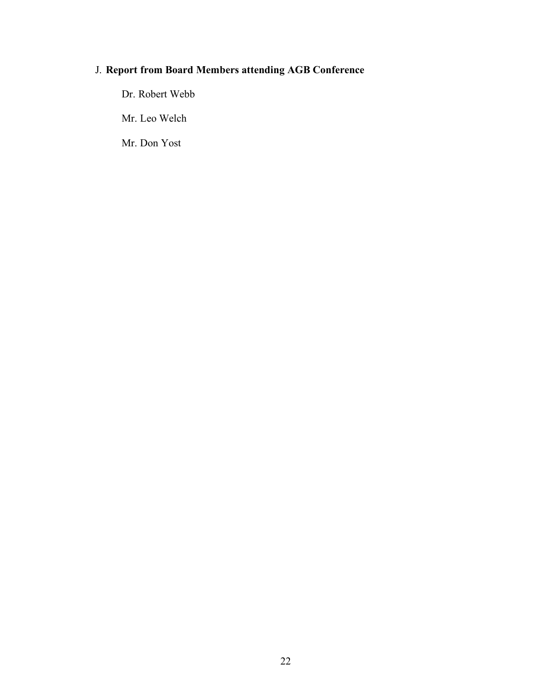# J. **Report from Board Members attending AGB Conference**

Dr. Robert Webb

Mr. Leo Welch

Mr. Don Yost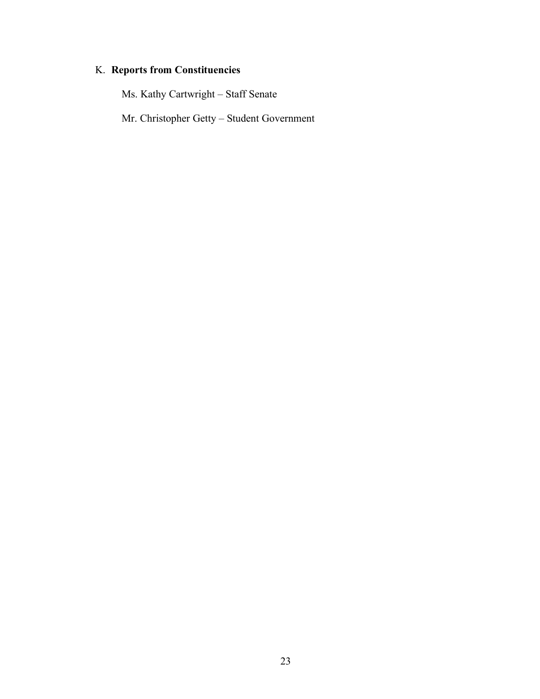# K. **Reports from Constituencies**

Ms. Kathy Cartwright – Staff Senate

Mr. Christopher Getty – Student Government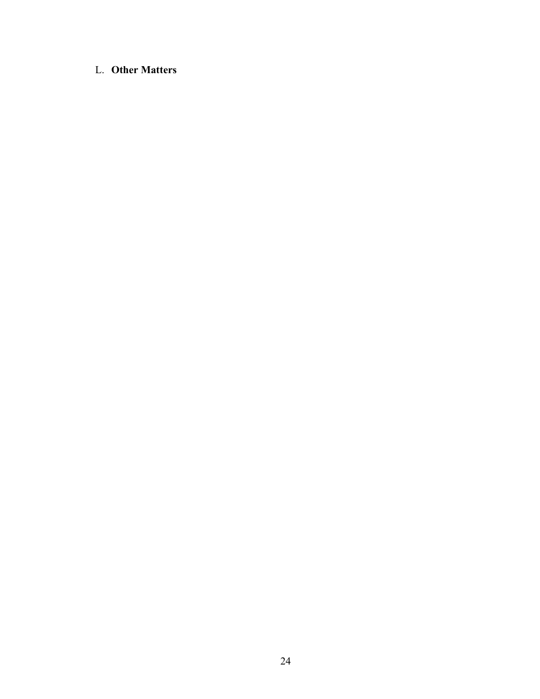# L. **Other Matters**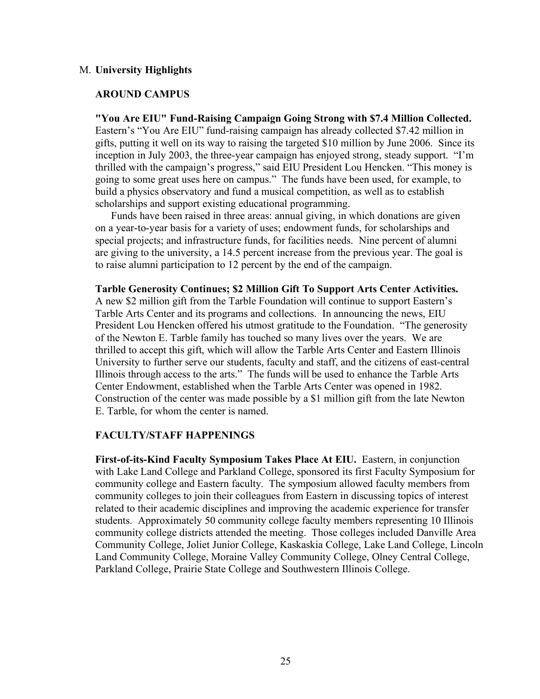## M. **University Highlights**

### **AROUND CAMPUS**

**"You Are EIU" Fund-Raising Campaign Going Strong with \$7.4 Million Collected.** Eastern's "You Are EIU" fund-raising campaign has already collected \$7.42 million in gifts, putting it well on its way to raising the targeted \$10 million by June 2006. Since its inception in July 2003, the three-year campaign has enjoyed strong, steady support. "I'm thrilled with the campaign's progress," said EIU President Lou Hencken. "This money is going to some great uses here on campus." The funds have been used, for example, to build a physics observatory and fund a musical competition, as well as to establish scholarships and support existing educational programming.

Funds have been raised in three areas: annual giving, in which donations are given on a year-to-year basis for a variety of uses; endowment funds, for scholarships and special projects; and infrastructure funds, for facilities needs. Nine percent of alumni are giving to the university, a 14.5 percent increase from the previous year. The goal is to raise alumni participation to 12 percent by the end of the campaign.

### **Tarble Generosity Continues; \$2 Million Gift To Support Arts Center Activities.**

A new \$2 million gift from the Tarble Foundation will continue to support Eastern's Tarble Arts Center and its programs and collections. In announcing the news, EIU President Lou Hencken offered his utmost gratitude to the Foundation. "The generosity of the Newton E. Tarble family has touched so many lives over the years. We are thrilled to accept this gift, which will allow the Tarble Arts Center and Eastern Illinois University to further serve our students, faculty and staff, and the citizens of east-central Illinois through access to the arts." The funds will be used to enhance the Tarble Arts Center Endowment, established when the Tarble Arts Center was opened in 1982. Construction of the center was made possible by a \$1 million gift from the late Newton E. Tarble, for whom the center is named.

#### **FACULTY/STAFF HAPPENINGS**

**First-of-its-Kind Faculty Symposium Takes Place At EIU.** Eastern, in conjunction with Lake Land College and Parkland College, sponsored its first Faculty Symposium for community college and Eastern faculty. The symposium allowed faculty members from community colleges to join their colleagues from Eastern in discussing topics of interest related to their academic disciplines and improving the academic experience for transfer students. Approximately 50 community college faculty members representing 10 Illinois community college districts attended the meeting. Those colleges included Danville Area Community College, Joliet Junior College, Kaskaskia College, Lake Land College, Lincoln Land Community College, Moraine Valley Community College, Olney Central College, Parkland College, Prairie State College and Southwestern Illinois College.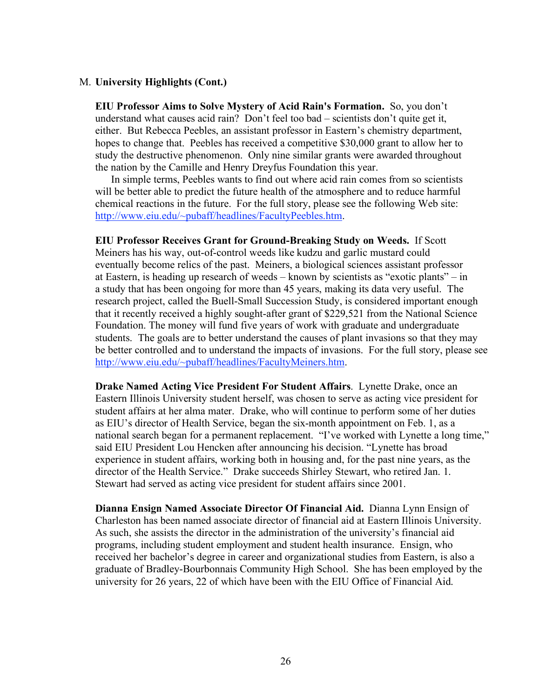**EIU Professor Aims to Solve Mystery of Acid Rain's Formation.** So, you don't understand what causes acid rain? Don't feel too bad – scientists don't quite get it, either. But Rebecca Peebles, an assistant professor in Eastern's chemistry department, hopes to change that. Peebles has received a competitive \$30,000 grant to allow her to study the destructive phenomenon. Only nine similar grants were awarded throughout the nation by the Camille and Henry Dreyfus Foundation this year.

In simple terms, Peebles wants to find out where acid rain comes from so scientists will be better able to predict the future health of the atmosphere and to reduce harmful chemical reactions in the future. For the full story, please see the following Web site: http://www.eiu.edu/~pubaff/headlines/FacultyPeebles.htm.

**EIU Professor Receives Grant for Ground-Breaking Study on Weeds.** If Scott Meiners has his way, out-of-control weeds like kudzu and garlic mustard could eventually become relics of the past. Meiners, a biological sciences assistant professor at Eastern, is heading up research of weeds – known by scientists as "exotic plants" – in a study that has been ongoing for more than 45 years, making its data very useful. The research project, called the Buell-Small Succession Study, is considered important enough that it recently received a highly sought-after grant of \$229,521 from the National Science Foundation. The money will fund five years of work with graduate and undergraduate students. The goals are to better understand the causes of plant invasions so that they may be better controlled and to understand the impacts of invasions. For the full story, please see http://www.eiu.edu/~pubaff/headlines/FacultyMeiners.htm.

**Drake Named Acting Vice President For Student Affairs**. Lynette Drake, once an Eastern Illinois University student herself, was chosen to serve as acting vice president for student affairs at her alma mater. Drake, who will continue to perform some of her duties as EIU's director of Health Service, began the six-month appointment on Feb. 1, as a national search began for a permanent replacement. "I've worked with Lynette a long time," said EIU President Lou Hencken after announcing his decision. "Lynette has broad experience in student affairs, working both in housing and, for the past nine years, as the director of the Health Service." Drake succeeds Shirley Stewart, who retired Jan. 1. Stewart had served as acting vice president for student affairs since 2001.

**Dianna Ensign Named Associate Director Of Financial Aid.** Dianna Lynn Ensign of Charleston has been named associate director of financial aid at Eastern Illinois University. As such, she assists the director in the administration of the university's financial aid programs, including student employment and student health insurance. Ensign, who received her bachelor's degree in career and organizational studies from Eastern, is also a graduate of Bradley-Bourbonnais Community High School. She has been employed by the university for 26 years, 22 of which have been with the EIU Office of Financial Aid.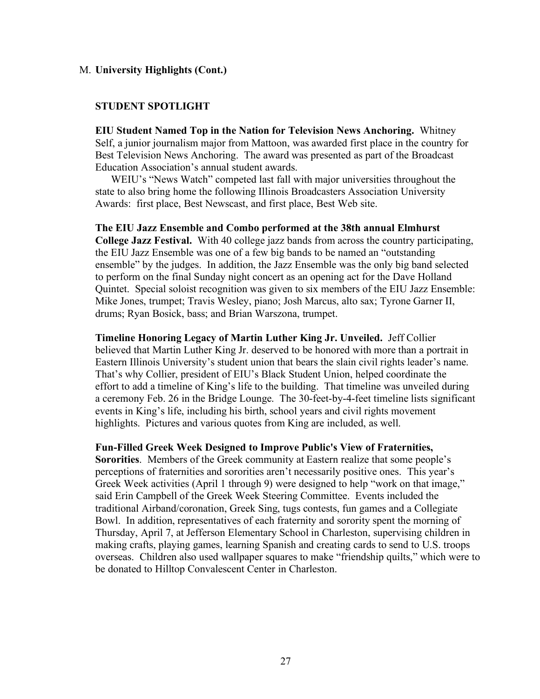### **STUDENT SPOTLIGHT**

**EIU Student Named Top in the Nation for Television News Anchoring.** Whitney Self, a junior journalism major from Mattoon, was awarded first place in the country for Best Television News Anchoring. The award was presented as part of the Broadcast Education Association's annual student awards.

WEIU's "News Watch" competed last fall with major universities throughout the state to also bring home the following Illinois Broadcasters Association University Awards: first place, Best Newscast, and first place, Best Web site.

**The EIU Jazz Ensemble and Combo performed at the 38th annual Elmhurst College Jazz Festival.** With 40 college jazz bands from across the country participating, the EIU Jazz Ensemble was one of a few big bands to be named an "outstanding ensemble" by the judges. In addition, the Jazz Ensemble was the only big band selected to perform on the final Sunday night concert as an opening act for the Dave Holland Quintet. Special soloist recognition was given to six members of the EIU Jazz Ensemble: Mike Jones, trumpet; Travis Wesley, piano; Josh Marcus, alto sax; Tyrone Garner II, drums; Ryan Bosick, bass; and Brian Warszona, trumpet.

**Timeline Honoring Legacy of Martin Luther King Jr. Unveiled.** Jeff Collier believed that Martin Luther King Jr. deserved to be honored with more than a portrait in Eastern Illinois University's student union that bears the slain civil rights leader's name. That's why Collier, president of EIU's Black Student Union, helped coordinate the effort to add a timeline of King's life to the building. That timeline was unveiled during a ceremony Feb. 26 in the Bridge Lounge. The 30-feet-by-4-feet timeline lists significant events in King's life, including his birth, school years and civil rights movement highlights. Pictures and various quotes from King are included, as well.

#### **Fun-Filled Greek Week Designed to Improve Public's View of Fraternities,**

**Sororities**. Members of the Greek community at Eastern realize that some people's perceptions of fraternities and sororities aren't necessarily positive ones. This year's Greek Week activities (April 1 through 9) were designed to help "work on that image," said Erin Campbell of the Greek Week Steering Committee. Events included the traditional Airband/coronation, Greek Sing, tugs contests, fun games and a Collegiate Bowl. In addition, representatives of each fraternity and sorority spent the morning of Thursday, April 7, at Jefferson Elementary School in Charleston, supervising children in making crafts, playing games, learning Spanish and creating cards to send to U.S. troops overseas. Children also used wallpaper squares to make "friendship quilts," which were to be donated to Hilltop Convalescent Center in Charleston.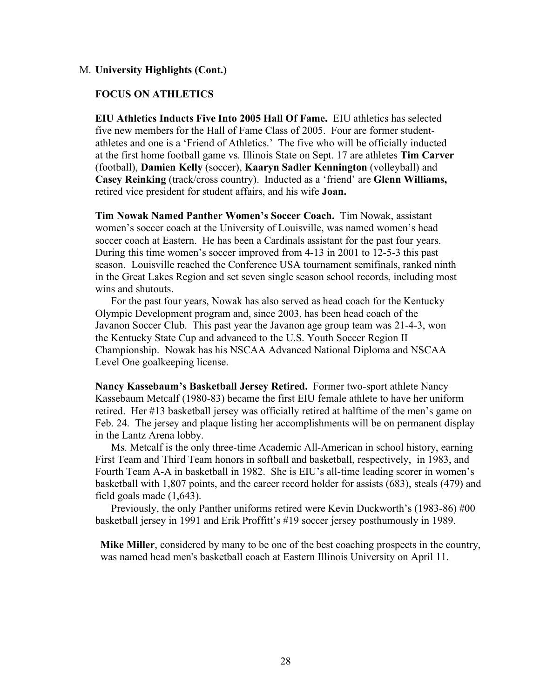# **FOCUS ON ATHLETICS**

**EIU Athletics Inducts Five Into 2005 Hall Of Fame.** EIU athletics has selected five new members for the Hall of Fame Class of 2005. Four are former studentathletes and one is a 'Friend of Athletics.' The five who will be officially inducted at the first home football game vs. Illinois State on Sept. 17 are athletes **Tim Carver** (football), **Damien Kelly** (soccer), **Kaaryn Sadler Kennington** (volleyball) and **Casey Reinking** (track/cross country). Inducted as a 'friend' are **Glenn Williams,** retired vice president for student affairs, and his wife **Joan.**

**Tim Nowak Named Panther Women's Soccer Coach.** Tim Nowak, assistant women's soccer coach at the University of Louisville, was named women's head soccer coach at Eastern. He has been a Cardinals assistant for the past four years. During this time women's soccer improved from 4-13 in 2001 to 12-5-3 this past season. Louisville reached the Conference USA tournament semifinals, ranked ninth in the Great Lakes Region and set seven single season school records, including most wins and shutouts.

For the past four years, Nowak has also served as head coach for the Kentucky Olympic Development program and, since 2003, has been head coach of the Javanon Soccer Club. This past year the Javanon age group team was 21-4-3, won the Kentucky State Cup and advanced to the U.S. Youth Soccer Region II Championship. Nowak has his NSCAA Advanced National Diploma and NSCAA Level One goalkeeping license.

**Nancy Kassebaum's Basketball Jersey Retired.** Former two-sport athlete Nancy Kassebaum Metcalf (1980-83) became the first EIU female athlete to have her uniform retired. Her #13 basketball jersey was officially retired at halftime of the men's game on Feb. 24. The jersey and plaque listing her accomplishments will be on permanent display in the Lantz Arena lobby.

Ms. Metcalf is the only three-time Academic All-American in school history, earning First Team and Third Team honors in softball and basketball, respectively, in 1983, and Fourth Team A-A in basketball in 1982. She is EIU's all-time leading scorer in women's basketball with 1,807 points, and the career record holder for assists (683), steals (479) and field goals made (1,643).

Previously, the only Panther uniforms retired were Kevin Duckworth's (1983-86) #00 basketball jersey in 1991 and Erik Proffitt's #19 soccer jersey posthumously in 1989.

**Mike Miller**, considered by many to be one of the best coaching prospects in the country, was named head men's basketball coach at Eastern Illinois University on April 11.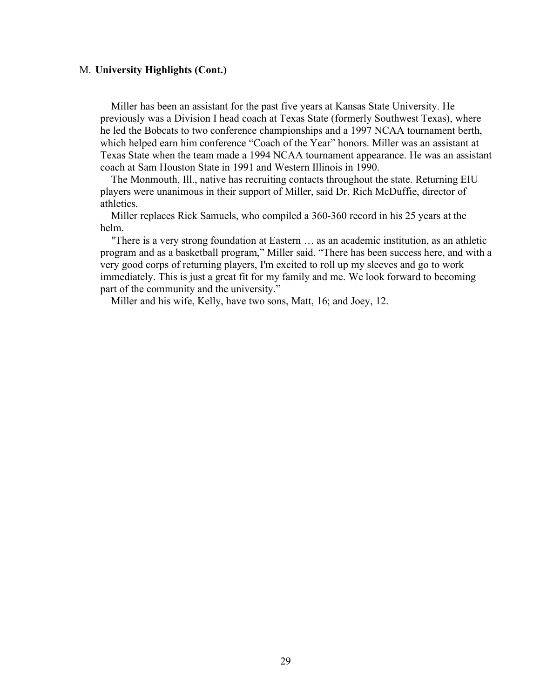Miller has been an assistant for the past five years at Kansas State University. He previously was a Division I head coach at Texas State (formerly Southwest Texas), where he led the Bobcats to two conference championships and a 1997 NCAA tournament berth, which helped earn him conference "Coach of the Year" honors. Miller was an assistant at Texas State when the team made a 1994 NCAA tournament appearance. He was an assistant coach at Sam Houston State in 1991 and Western Illinois in 1990.

The Monmouth, Ill., native has recruiting contacts throughout the state. Returning EIU players were unanimous in their support of Miller, said Dr. Rich McDuffie, director of athletics.

Miller replaces Rick Samuels, who compiled a 360-360 record in his 25 years at the helm.

"There is a very strong foundation at Eastern … as an academic institution, as an athletic program and as a basketball program," Miller said. "There has been success here, and with a very good corps of returning players, I'm excited to roll up my sleeves and go to work immediately. This is just a great fit for my family and me. We look forward to becoming part of the community and the university."

Miller and his wife, Kelly, have two sons, Matt, 16; and Joey, 12.